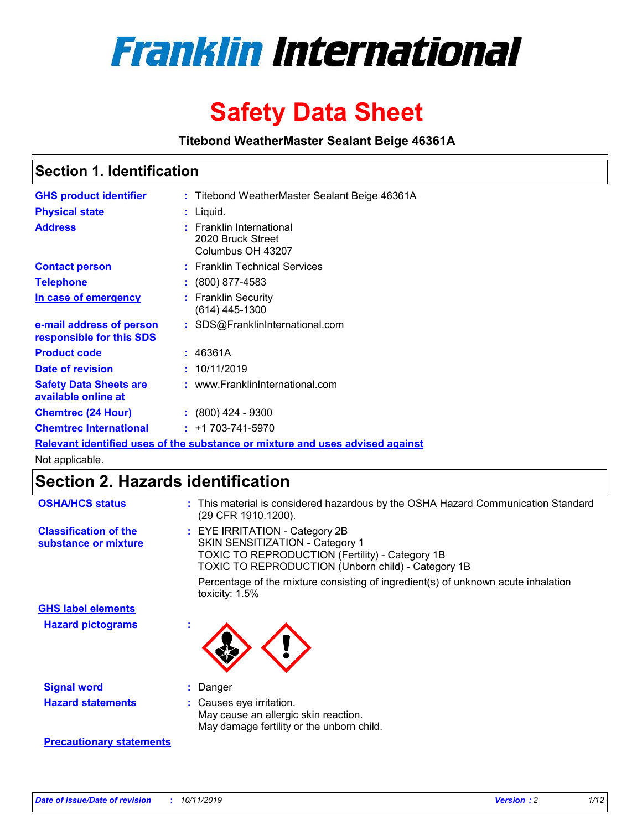

# **Safety Data Sheet**

**Titebond WeatherMaster Sealant Beige 46361A**

## **Section 1. Identification**

| <b>GHS product identifier</b>                        | : Titebond WeatherMaster Sealant Beige 46361A                                 |
|------------------------------------------------------|-------------------------------------------------------------------------------|
| <b>Physical state</b>                                | : Liquid.                                                                     |
| <b>Address</b>                                       | : Franklin International<br>2020 Bruck Street<br>Columbus OH 43207            |
| <b>Contact person</b>                                | : Franklin Technical Services                                                 |
| <b>Telephone</b>                                     | : (800) 877-4583                                                              |
| In case of emergency                                 | : Franklin Security<br>$(614)$ 445-1300                                       |
| e-mail address of person<br>responsible for this SDS | : SDS@FranklinInternational.com                                               |
| <b>Product code</b>                                  | : 46361A                                                                      |
| Date of revision                                     | : 10/11/2019                                                                  |
| <b>Safety Data Sheets are</b><br>available online at | : www.FranklinInternational.com                                               |
| <b>Chemtrec (24 Hour)</b>                            | $\div$ (800) 424 - 9300                                                       |
| <b>Chemtrec International</b>                        | $: +1703 - 741 - 5970$                                                        |
|                                                      | Relevant identified uses of the substance or mixture and uses advised against |

Not applicable.

# **Section 2. Hazards identification**

| <b>OSHA/HCS status</b>                               | : This material is considered hazardous by the OSHA Hazard Communication Standard<br>(29 CFR 1910.1200).                                                                                 |
|------------------------------------------------------|------------------------------------------------------------------------------------------------------------------------------------------------------------------------------------------|
| <b>Classification of the</b><br>substance or mixture | : EYE IRRITATION - Category 2B<br>SKIN SENSITIZATION - Category 1<br><b>TOXIC TO REPRODUCTION (Fertility) - Category 1B</b><br><b>TOXIC TO REPRODUCTION (Unborn child) - Category 1B</b> |
|                                                      | Percentage of the mixture consisting of ingredient(s) of unknown acute inhalation<br>toxicity: $1.5\%$                                                                                   |
| <b>GHS label elements</b>                            |                                                                                                                                                                                          |
| <b>Hazard pictograms</b>                             |                                                                                                                                                                                          |
| <b>Signal word</b>                                   | : Danger                                                                                                                                                                                 |
| <b>Hazard statements</b>                             | : Causes eye irritation.<br>May cause an allergic skin reaction.<br>May damage fertility or the unborn child.                                                                            |
| <b>Precautionary statements</b>                      |                                                                                                                                                                                          |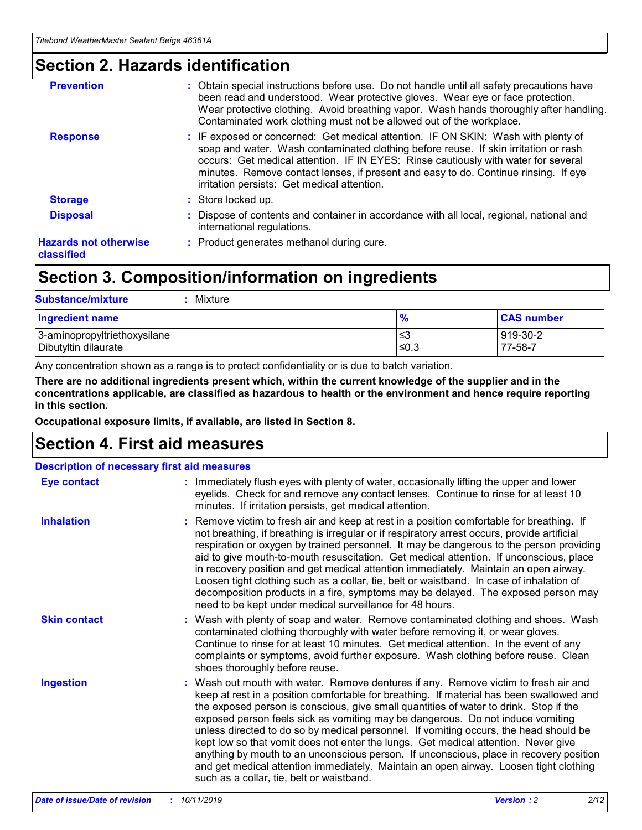## **Section 2. Hazards identification**

| <b>Prevention</b>                          | : Obtain special instructions before use. Do not handle until all safety precautions have<br>been read and understood. Wear protective gloves. Wear eye or face protection.<br>Wear protective clothing. Avoid breathing vapor. Wash hands thoroughly after handling.<br>Contaminated work clothing must not be allowed out of the workplace.                                                        |
|--------------------------------------------|------------------------------------------------------------------------------------------------------------------------------------------------------------------------------------------------------------------------------------------------------------------------------------------------------------------------------------------------------------------------------------------------------|
| <b>Response</b>                            | : IF exposed or concerned: Get medical attention. IF ON SKIN: Wash with plenty of<br>soap and water. Wash contaminated clothing before reuse. If skin irritation or rash<br>occurs: Get medical attention. IF IN EYES: Rinse cautiously with water for several<br>minutes. Remove contact lenses, if present and easy to do. Continue rinsing. If eye<br>irritation persists: Get medical attention. |
| <b>Storage</b>                             | : Store locked up.                                                                                                                                                                                                                                                                                                                                                                                   |
| <b>Disposal</b>                            | : Dispose of contents and container in accordance with all local, regional, national and<br>international regulations.                                                                                                                                                                                                                                                                               |
| <b>Hazards not otherwise</b><br>classified | : Product generates methanol during cure.                                                                                                                                                                                                                                                                                                                                                            |
|                                            |                                                                                                                                                                                                                                                                                                                                                                                                      |

# **Section 3. Composition/information on ingredients**

| <b>Substance/mixture</b><br>Mixture                  |                   |                     |
|------------------------------------------------------|-------------------|---------------------|
| Ingredient name                                      | $\frac{9}{6}$     | <b>CAS number</b>   |
| 3-aminopropyltriethoxysilane<br>Dibutyltin dilaurate | l≤3<br>$\leq 0.3$ | 919-30-2<br>77-58-7 |

Any concentration shown as a range is to protect confidentiality or is due to batch variation.

**There are no additional ingredients present which, within the current knowledge of the supplier and in the concentrations applicable, are classified as hazardous to health or the environment and hence require reporting in this section.**

**Occupational exposure limits, if available, are listed in Section 8.**

# **Section 4. First aid measures**

| <b>Description of necessary first aid measures</b> |                                                                                                                                                                                                                                                                                                                                                                                                                                                                                                                                                                                                                                                                                                                                                                           |  |  |  |
|----------------------------------------------------|---------------------------------------------------------------------------------------------------------------------------------------------------------------------------------------------------------------------------------------------------------------------------------------------------------------------------------------------------------------------------------------------------------------------------------------------------------------------------------------------------------------------------------------------------------------------------------------------------------------------------------------------------------------------------------------------------------------------------------------------------------------------------|--|--|--|
| <b>Eye contact</b>                                 | : Immediately flush eyes with plenty of water, occasionally lifting the upper and lower<br>eyelids. Check for and remove any contact lenses. Continue to rinse for at least 10<br>minutes. If irritation persists, get medical attention.                                                                                                                                                                                                                                                                                                                                                                                                                                                                                                                                 |  |  |  |
| <b>Inhalation</b>                                  | : Remove victim to fresh air and keep at rest in a position comfortable for breathing. If<br>not breathing, if breathing is irregular or if respiratory arrest occurs, provide artificial<br>respiration or oxygen by trained personnel. It may be dangerous to the person providing<br>aid to give mouth-to-mouth resuscitation. Get medical attention. If unconscious, place<br>in recovery position and get medical attention immediately. Maintain an open airway.<br>Loosen tight clothing such as a collar, tie, belt or waistband. In case of inhalation of<br>decomposition products in a fire, symptoms may be delayed. The exposed person may<br>need to be kept under medical surveillance for 48 hours.                                                       |  |  |  |
| <b>Skin contact</b>                                | : Wash with plenty of soap and water. Remove contaminated clothing and shoes. Wash<br>contaminated clothing thoroughly with water before removing it, or wear gloves.<br>Continue to rinse for at least 10 minutes. Get medical attention. In the event of any<br>complaints or symptoms, avoid further exposure. Wash clothing before reuse. Clean<br>shoes thoroughly before reuse.                                                                                                                                                                                                                                                                                                                                                                                     |  |  |  |
| <b>Ingestion</b>                                   | : Wash out mouth with water. Remove dentures if any. Remove victim to fresh air and<br>keep at rest in a position comfortable for breathing. If material has been swallowed and<br>the exposed person is conscious, give small quantities of water to drink. Stop if the<br>exposed person feels sick as vomiting may be dangerous. Do not induce vomiting<br>unless directed to do so by medical personnel. If vomiting occurs, the head should be<br>kept low so that vomit does not enter the lungs. Get medical attention. Never give<br>anything by mouth to an unconscious person. If unconscious, place in recovery position<br>and get medical attention immediately. Maintain an open airway. Loosen tight clothing<br>such as a collar, tie, belt or waistband. |  |  |  |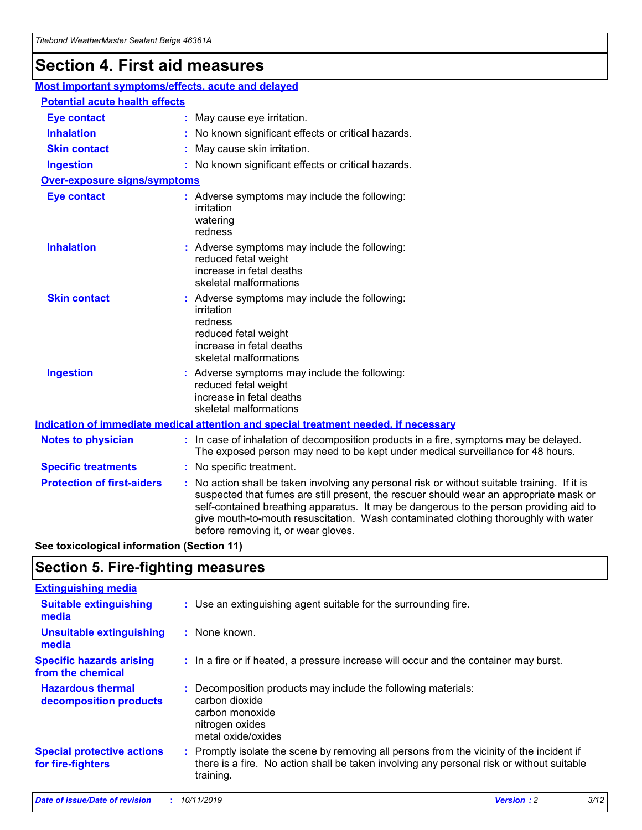# **Section 4. First aid measures**

| Most important symptoms/effects, acute and delayed |  |                                                                                                                                                                                                                                                                                                                                                                                                                 |  |  |
|----------------------------------------------------|--|-----------------------------------------------------------------------------------------------------------------------------------------------------------------------------------------------------------------------------------------------------------------------------------------------------------------------------------------------------------------------------------------------------------------|--|--|
| <b>Potential acute health effects</b>              |  |                                                                                                                                                                                                                                                                                                                                                                                                                 |  |  |
| <b>Eye contact</b>                                 |  | : May cause eye irritation.                                                                                                                                                                                                                                                                                                                                                                                     |  |  |
| <b>Inhalation</b>                                  |  | : No known significant effects or critical hazards.                                                                                                                                                                                                                                                                                                                                                             |  |  |
| <b>Skin contact</b>                                |  | : May cause skin irritation.                                                                                                                                                                                                                                                                                                                                                                                    |  |  |
| <b>Ingestion</b>                                   |  | : No known significant effects or critical hazards.                                                                                                                                                                                                                                                                                                                                                             |  |  |
| Over-exposure signs/symptoms                       |  |                                                                                                                                                                                                                                                                                                                                                                                                                 |  |  |
| <b>Eye contact</b>                                 |  | : Adverse symptoms may include the following:<br>irritation<br>watering<br>redness                                                                                                                                                                                                                                                                                                                              |  |  |
| <b>Inhalation</b>                                  |  | : Adverse symptoms may include the following:<br>reduced fetal weight<br>increase in fetal deaths<br>skeletal malformations                                                                                                                                                                                                                                                                                     |  |  |
| <b>Skin contact</b>                                |  | : Adverse symptoms may include the following:<br>irritation<br>redness<br>reduced fetal weight<br>increase in fetal deaths<br>skeletal malformations                                                                                                                                                                                                                                                            |  |  |
| <b>Ingestion</b>                                   |  | : Adverse symptoms may include the following:<br>reduced fetal weight<br>increase in fetal deaths<br>skeletal malformations                                                                                                                                                                                                                                                                                     |  |  |
|                                                    |  | <b>Indication of immediate medical attention and special treatment needed, if necessary</b>                                                                                                                                                                                                                                                                                                                     |  |  |
| <b>Notes to physician</b>                          |  | : In case of inhalation of decomposition products in a fire, symptoms may be delayed.<br>The exposed person may need to be kept under medical surveillance for 48 hours.                                                                                                                                                                                                                                        |  |  |
| <b>Specific treatments</b>                         |  | : No specific treatment.                                                                                                                                                                                                                                                                                                                                                                                        |  |  |
| <b>Protection of first-aiders</b>                  |  | : No action shall be taken involving any personal risk or without suitable training. If it is<br>suspected that fumes are still present, the rescuer should wear an appropriate mask or<br>self-contained breathing apparatus. It may be dangerous to the person providing aid to<br>give mouth-to-mouth resuscitation. Wash contaminated clothing thoroughly with water<br>before removing it, or wear gloves. |  |  |

**See toxicological information (Section 11)**

## **Section 5. Fire-fighting measures**

| <b>Extinguishing media</b>                             |                                                                                                                                                                                                     |
|--------------------------------------------------------|-----------------------------------------------------------------------------------------------------------------------------------------------------------------------------------------------------|
| <b>Suitable extinguishing</b><br>media                 | : Use an extinguishing agent suitable for the surrounding fire.                                                                                                                                     |
| <b>Unsuitable extinguishing</b><br>media               | : None known.                                                                                                                                                                                       |
| <b>Specific hazards arising</b><br>from the chemical   | : In a fire or if heated, a pressure increase will occur and the container may burst.                                                                                                               |
| <b>Hazardous thermal</b><br>decomposition products     | : Decomposition products may include the following materials:<br>carbon dioxide<br>carbon monoxide<br>nitrogen oxides<br>metal oxide/oxides                                                         |
| <b>Special protective actions</b><br>for fire-fighters | : Promptly isolate the scene by removing all persons from the vicinity of the incident if<br>there is a fire. No action shall be taken involving any personal risk or without suitable<br>training. |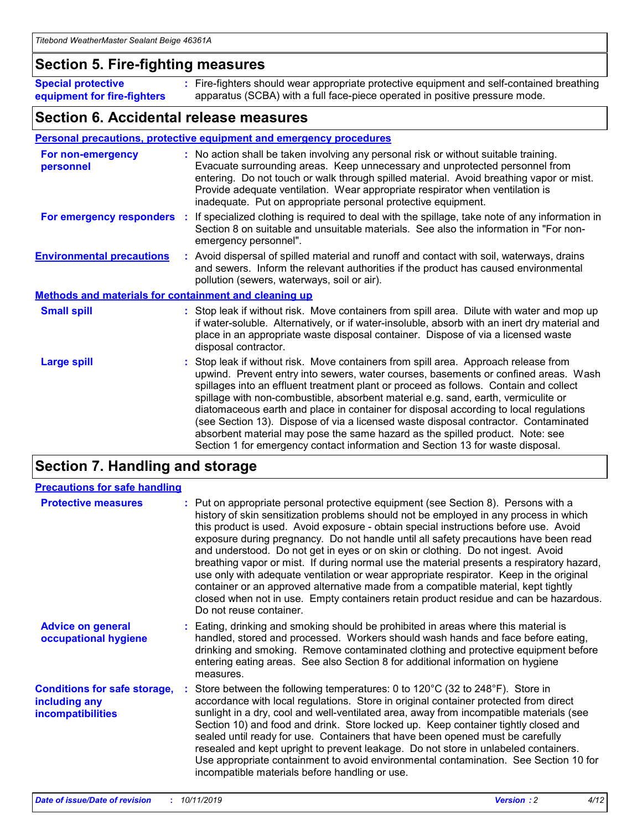## **Section 5. Fire-fighting measures**

**Special protective equipment for fire-fighters** Fire-fighters should wear appropriate protective equipment and self-contained breathing **:** apparatus (SCBA) with a full face-piece operated in positive pressure mode.

## **Section 6. Accidental release measures**

#### **Personal precautions, protective equipment and emergency procedures**

| For non-emergency<br>personnel                               | : No action shall be taken involving any personal risk or without suitable training.<br>Evacuate surrounding areas. Keep unnecessary and unprotected personnel from<br>entering. Do not touch or walk through spilled material. Avoid breathing vapor or mist.<br>Provide adequate ventilation. Wear appropriate respirator when ventilation is<br>inadequate. Put on appropriate personal protective equipment.                                                                                                                                                                                                                                                                                             |
|--------------------------------------------------------------|--------------------------------------------------------------------------------------------------------------------------------------------------------------------------------------------------------------------------------------------------------------------------------------------------------------------------------------------------------------------------------------------------------------------------------------------------------------------------------------------------------------------------------------------------------------------------------------------------------------------------------------------------------------------------------------------------------------|
|                                                              | For emergency responders : If specialized clothing is required to deal with the spillage, take note of any information in<br>Section 8 on suitable and unsuitable materials. See also the information in "For non-<br>emergency personnel".                                                                                                                                                                                                                                                                                                                                                                                                                                                                  |
| <b>Environmental precautions</b>                             | : Avoid dispersal of spilled material and runoff and contact with soil, waterways, drains<br>and sewers. Inform the relevant authorities if the product has caused environmental<br>pollution (sewers, waterways, soil or air).                                                                                                                                                                                                                                                                                                                                                                                                                                                                              |
| <b>Methods and materials for containment and cleaning up</b> |                                                                                                                                                                                                                                                                                                                                                                                                                                                                                                                                                                                                                                                                                                              |
| <b>Small spill</b>                                           | : Stop leak if without risk. Move containers from spill area. Dilute with water and mop up<br>if water-soluble. Alternatively, or if water-insoluble, absorb with an inert dry material and<br>place in an appropriate waste disposal container. Dispose of via a licensed waste<br>disposal contractor.                                                                                                                                                                                                                                                                                                                                                                                                     |
| <b>Large spill</b>                                           | : Stop leak if without risk. Move containers from spill area. Approach release from<br>upwind. Prevent entry into sewers, water courses, basements or confined areas. Wash<br>spillages into an effluent treatment plant or proceed as follows. Contain and collect<br>spillage with non-combustible, absorbent material e.g. sand, earth, vermiculite or<br>diatomaceous earth and place in container for disposal according to local regulations<br>(see Section 13). Dispose of via a licensed waste disposal contractor. Contaminated<br>absorbent material may pose the same hazard as the spilled product. Note: see<br>Section 1 for emergency contact information and Section 13 for waste disposal. |

# **Section 7. Handling and storage**

| <b>Precautions for safe handling</b>                                             |                                                                                                                                                                                                                                                                                                                                                                                                                                                                                                                                                                                                                                                                                                                                                                                                                                                  |
|----------------------------------------------------------------------------------|--------------------------------------------------------------------------------------------------------------------------------------------------------------------------------------------------------------------------------------------------------------------------------------------------------------------------------------------------------------------------------------------------------------------------------------------------------------------------------------------------------------------------------------------------------------------------------------------------------------------------------------------------------------------------------------------------------------------------------------------------------------------------------------------------------------------------------------------------|
| <b>Protective measures</b>                                                       | : Put on appropriate personal protective equipment (see Section 8). Persons with a<br>history of skin sensitization problems should not be employed in any process in which<br>this product is used. Avoid exposure - obtain special instructions before use. Avoid<br>exposure during pregnancy. Do not handle until all safety precautions have been read<br>and understood. Do not get in eyes or on skin or clothing. Do not ingest. Avoid<br>breathing vapor or mist. If during normal use the material presents a respiratory hazard,<br>use only with adequate ventilation or wear appropriate respirator. Keep in the original<br>container or an approved alternative made from a compatible material, kept tightly<br>closed when not in use. Empty containers retain product residue and can be hazardous.<br>Do not reuse container. |
| <b>Advice on general</b><br>occupational hygiene                                 | : Eating, drinking and smoking should be prohibited in areas where this material is<br>handled, stored and processed. Workers should wash hands and face before eating,<br>drinking and smoking. Remove contaminated clothing and protective equipment before<br>entering eating areas. See also Section 8 for additional information on hygiene<br>measures.                                                                                                                                                                                                                                                                                                                                                                                                                                                                                    |
| <b>Conditions for safe storage,</b><br>including any<br><b>incompatibilities</b> | : Store between the following temperatures: 0 to 120 $\degree$ C (32 to 248 $\degree$ F). Store in<br>accordance with local regulations. Store in original container protected from direct<br>sunlight in a dry, cool and well-ventilated area, away from incompatible materials (see<br>Section 10) and food and drink. Store locked up. Keep container tightly closed and<br>sealed until ready for use. Containers that have been opened must be carefully<br>resealed and kept upright to prevent leakage. Do not store in unlabeled containers.<br>Use appropriate containment to avoid environmental contamination. See Section 10 for<br>incompatible materials before handling or use.                                                                                                                                                   |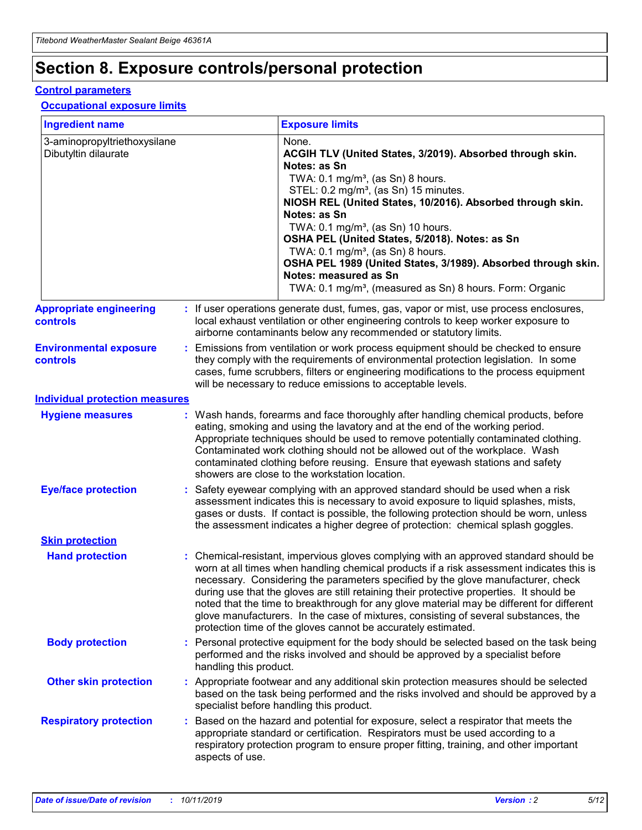# **Section 8. Exposure controls/personal protection**

#### **Control parameters**

### **Occupational exposure limits**

| <b>Ingredient name</b>                               |    |                                          | <b>Exposure limits</b>                                                                                                                                                                                                                                                                                                                                                                                                                                                                                                                                                                                                 |
|------------------------------------------------------|----|------------------------------------------|------------------------------------------------------------------------------------------------------------------------------------------------------------------------------------------------------------------------------------------------------------------------------------------------------------------------------------------------------------------------------------------------------------------------------------------------------------------------------------------------------------------------------------------------------------------------------------------------------------------------|
| 3-aminopropyltriethoxysilane<br>Dibutyltin dilaurate |    |                                          | None.<br>ACGIH TLV (United States, 3/2019). Absorbed through skin.<br>Notes: as Sn<br>TWA: 0.1 mg/m <sup>3</sup> , (as Sn) 8 hours.<br>STEL: 0.2 mg/m <sup>3</sup> , (as Sn) 15 minutes.<br>NIOSH REL (United States, 10/2016). Absorbed through skin.<br>Notes: as Sn<br>TWA: 0.1 mg/m <sup>3</sup> , (as Sn) 10 hours.<br>OSHA PEL (United States, 5/2018). Notes: as Sn<br>TWA: $0.1 \text{ mg/m}^3$ , (as Sn) 8 hours.<br>OSHA PEL 1989 (United States, 3/1989). Absorbed through skin.<br>Notes: measured as Sn<br>TWA: 0.1 mg/m <sup>3</sup> , (measured as Sn) 8 hours. Form: Organic                           |
| <b>Appropriate engineering</b><br>controls           |    |                                          | : If user operations generate dust, fumes, gas, vapor or mist, use process enclosures,<br>local exhaust ventilation or other engineering controls to keep worker exposure to<br>airborne contaminants below any recommended or statutory limits.                                                                                                                                                                                                                                                                                                                                                                       |
| <b>Environmental exposure</b><br><b>controls</b>     |    |                                          | Emissions from ventilation or work process equipment should be checked to ensure<br>they comply with the requirements of environmental protection legislation. In some<br>cases, fume scrubbers, filters or engineering modifications to the process equipment<br>will be necessary to reduce emissions to acceptable levels.                                                                                                                                                                                                                                                                                          |
| <b>Individual protection measures</b>                |    |                                          |                                                                                                                                                                                                                                                                                                                                                                                                                                                                                                                                                                                                                        |
| <b>Hygiene measures</b>                              |    |                                          | : Wash hands, forearms and face thoroughly after handling chemical products, before<br>eating, smoking and using the lavatory and at the end of the working period.<br>Appropriate techniques should be used to remove potentially contaminated clothing.<br>Contaminated work clothing should not be allowed out of the workplace. Wash<br>contaminated clothing before reusing. Ensure that eyewash stations and safety<br>showers are close to the workstation location.                                                                                                                                            |
| <b>Eye/face protection</b>                           |    |                                          | : Safety eyewear complying with an approved standard should be used when a risk<br>assessment indicates this is necessary to avoid exposure to liquid splashes, mists,<br>gases or dusts. If contact is possible, the following protection should be worn, unless<br>the assessment indicates a higher degree of protection: chemical splash goggles.                                                                                                                                                                                                                                                                  |
| <b>Skin protection</b>                               |    |                                          |                                                                                                                                                                                                                                                                                                                                                                                                                                                                                                                                                                                                                        |
| <b>Hand protection</b>                               |    |                                          | : Chemical-resistant, impervious gloves complying with an approved standard should be<br>worn at all times when handling chemical products if a risk assessment indicates this is<br>necessary. Considering the parameters specified by the glove manufacturer, check<br>during use that the gloves are still retaining their protective properties. It should be<br>noted that the time to breakthrough for any glove material may be different for different<br>glove manufacturers. In the case of mixtures, consisting of several substances, the<br>protection time of the gloves cannot be accurately estimated. |
| <b>Body protection</b>                               |    | handling this product.                   | Personal protective equipment for the body should be selected based on the task being<br>performed and the risks involved and should be approved by a specialist before                                                                                                                                                                                                                                                                                                                                                                                                                                                |
| <b>Other skin protection</b>                         |    | specialist before handling this product. | : Appropriate footwear and any additional skin protection measures should be selected<br>based on the task being performed and the risks involved and should be approved by a                                                                                                                                                                                                                                                                                                                                                                                                                                          |
| <b>Respiratory protection</b>                        | ÷. | aspects of use.                          | Based on the hazard and potential for exposure, select a respirator that meets the<br>appropriate standard or certification. Respirators must be used according to a<br>respiratory protection program to ensure proper fitting, training, and other important                                                                                                                                                                                                                                                                                                                                                         |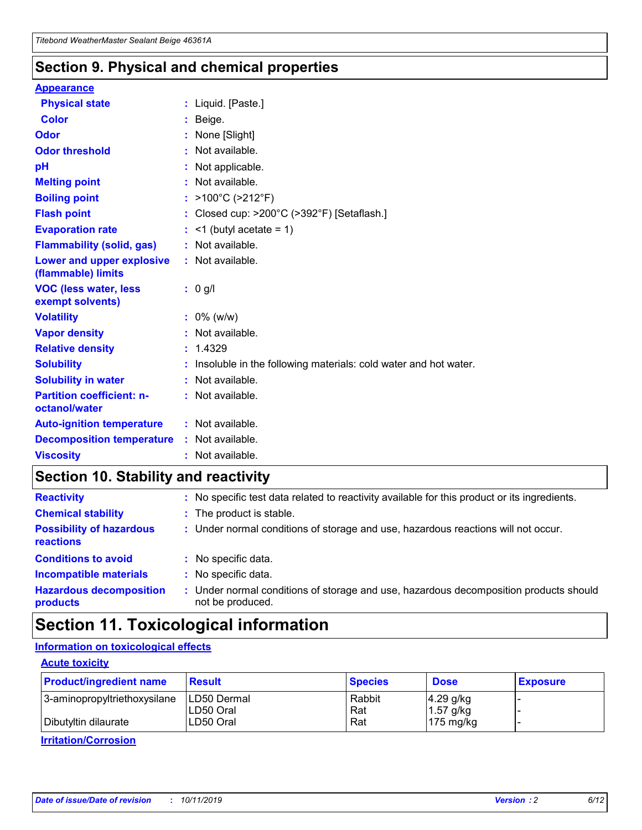## **Section 9. Physical and chemical properties**

#### **Appearance**

| <b>Physical state</b>                             | : Liquid. [Paste.]                                              |
|---------------------------------------------------|-----------------------------------------------------------------|
| Color                                             | Beige.                                                          |
| Odor                                              | None [Slight]                                                   |
| <b>Odor threshold</b>                             | : Not available.                                                |
| рH                                                | : Not applicable.                                               |
| <b>Melting point</b>                              | : Not available.                                                |
| <b>Boiling point</b>                              | : >100°C (>212°F)                                               |
| <b>Flash point</b>                                | : Closed cup: $>200^{\circ}$ C ( $>392^{\circ}$ F) [Setaflash.] |
| <b>Evaporation rate</b>                           | $:$ <1 (butyl acetate = 1)                                      |
| <b>Flammability (solid, gas)</b>                  | : Not available.                                                |
| Lower and upper explosive<br>(flammable) limits   | : Not available.                                                |
| <b>VOC (less water, less</b><br>exempt solvents)  | : 0 g/l                                                         |
| <b>Volatility</b>                                 | $: 0\%$ (w/w)                                                   |
| <b>Vapor density</b>                              | : Not available.                                                |
| <b>Relative density</b>                           | : 1.4329                                                        |
| <b>Solubility</b>                                 | Insoluble in the following materials: cold water and hot water. |
| <b>Solubility in water</b>                        | : Not available.                                                |
| <b>Partition coefficient: n-</b><br>octanol/water | $:$ Not available.                                              |
| <b>Auto-ignition temperature</b>                  | : Not available.                                                |
|                                                   |                                                                 |
| <b>Decomposition temperature</b>                  | : Not available.                                                |

## **Section 10. Stability and reactivity**

| <b>Reactivity</b>                            |    | : No specific test data related to reactivity available for this product or its ingredients.            |
|----------------------------------------------|----|---------------------------------------------------------------------------------------------------------|
| <b>Chemical stability</b>                    |    | : The product is stable.                                                                                |
| <b>Possibility of hazardous</b><br>reactions |    | : Under normal conditions of storage and use, hazardous reactions will not occur.                       |
| <b>Conditions to avoid</b>                   |    | : No specific data.                                                                                     |
| <b>Incompatible materials</b>                | ٠. | No specific data.                                                                                       |
| <b>Hazardous decomposition</b><br>products   | ÷. | Under normal conditions of storage and use, hazardous decomposition products should<br>not be produced. |

# **Section 11. Toxicological information**

### **Information on toxicological effects**

#### **Acute toxicity**

| <b>Product/ingredient name</b> | <b>Result</b>           | <b>Species</b> | <b>Dose</b>                | <b>Exposure</b> |
|--------------------------------|-------------------------|----------------|----------------------------|-----------------|
| 3-aminopropyltriethoxysilane   | <b>ILD50 Dermal</b>     | Rabbit         | 4.29 g/kg                  |                 |
| Dibutyltin dilaurate           | ILD50 Oral<br>LD50 Oral | Rat<br>Rat     | $1.57$ g/kg<br>175 $mg/kg$ |                 |
|                                |                         |                |                            |                 |

**Irritation/Corrosion**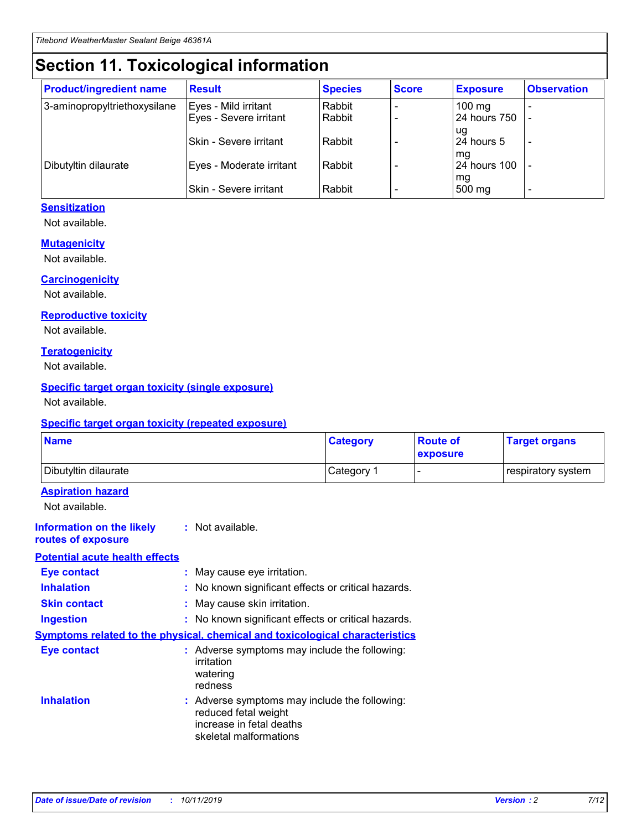# **Section 11. Toxicological information**

| <b>Product/ingredient name</b> | <b>Result</b>            | <b>Species</b> | <b>Score</b> | <b>Exposure</b>           | <b>Observation</b> |
|--------------------------------|--------------------------|----------------|--------------|---------------------------|--------------------|
| 3-aminopropyltriethoxysilane   | Eyes - Mild irritant     | Rabbit         |              | $100$ mg                  |                    |
|                                | Eyes - Severe irritant   | Rabbit         |              | 24 hours 750              |                    |
|                                |                          |                |              | ug                        |                    |
|                                | Skin - Severe irritant   | Rabbit         |              | 24 hours 5                | -                  |
| Dibutyltin dilaurate           | Eyes - Moderate irritant | Rabbit         |              | mg<br><b>24 hours 100</b> |                    |
|                                |                          |                |              | mg                        |                    |
|                                | Skin - Severe irritant   | Rabbit         |              | 500 mg                    | -                  |

### **Sensitization**

Not available.

#### **Mutagenicity**

Not available.

#### **Carcinogenicity**

Not available.

#### **Reproductive toxicity**

Not available.

#### **Teratogenicity**

Not available.

#### **Specific target organ toxicity (single exposure)**

Not available.

#### **Specific target organ toxicity (repeated exposure)**

| <b>Name</b>                                                                  |                                                                                                                             | <b>Category</b> | <b>Route of</b><br>exposure  | <b>Target organs</b> |
|------------------------------------------------------------------------------|-----------------------------------------------------------------------------------------------------------------------------|-----------------|------------------------------|----------------------|
| Dibutyltin dilaurate                                                         |                                                                                                                             | Category 1      | $\qquad \qquad \blacksquare$ | respiratory system   |
| <b>Aspiration hazard</b><br>Not available.                                   |                                                                                                                             |                 |                              |                      |
| <b>Information on the likely</b><br>routes of exposure                       | : Not available.                                                                                                            |                 |                              |                      |
| <b>Potential acute health effects</b>                                        |                                                                                                                             |                 |                              |                      |
| <b>Eye contact</b>                                                           | : May cause eye irritation.                                                                                                 |                 |                              |                      |
| <b>Inhalation</b>                                                            | : No known significant effects or critical hazards.                                                                         |                 |                              |                      |
| <b>Skin contact</b>                                                          | : May cause skin irritation.                                                                                                |                 |                              |                      |
| <b>Ingestion</b>                                                             | : No known significant effects or critical hazards.                                                                         |                 |                              |                      |
| Symptoms related to the physical, chemical and toxicological characteristics |                                                                                                                             |                 |                              |                      |
| <b>Eye contact</b>                                                           | : Adverse symptoms may include the following:<br>irritation<br>watering<br>redness                                          |                 |                              |                      |
| <b>Inhalation</b>                                                            | : Adverse symptoms may include the following:<br>reduced fetal weight<br>increase in fetal deaths<br>skeletal malformations |                 |                              |                      |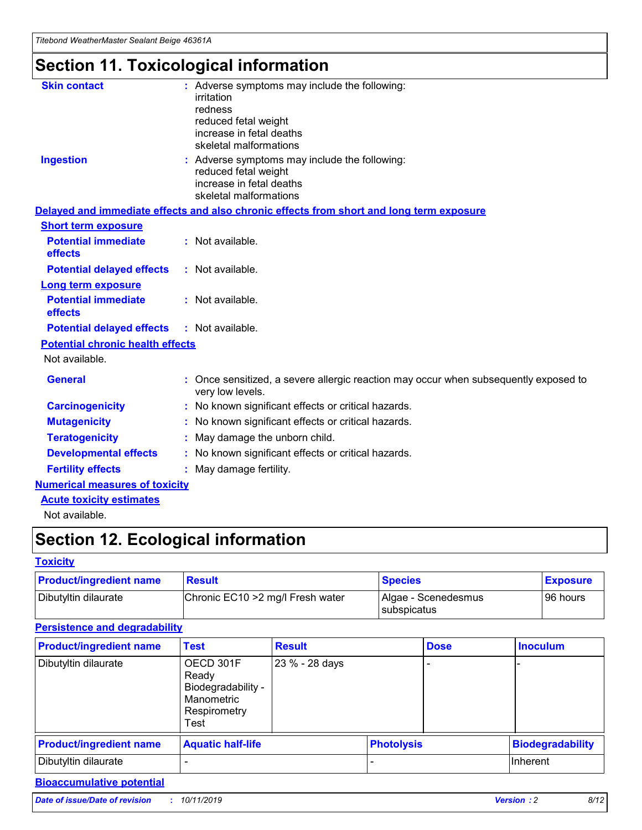# **Section 11. Toxicological information**

| <b>Skin contact</b>                     | : Adverse symptoms may include the following:                                                            |
|-----------------------------------------|----------------------------------------------------------------------------------------------------------|
|                                         | irritation                                                                                               |
|                                         | redness                                                                                                  |
|                                         | reduced fetal weight                                                                                     |
|                                         | increase in fetal deaths                                                                                 |
|                                         | skeletal malformations                                                                                   |
| <b>Ingestion</b>                        | : Adverse symptoms may include the following:                                                            |
|                                         | reduced fetal weight                                                                                     |
|                                         | increase in fetal deaths                                                                                 |
|                                         | skeletal malformations                                                                                   |
|                                         | Delayed and immediate effects and also chronic effects from short and long term exposure                 |
| <b>Short term exposure</b>              |                                                                                                          |
| <b>Potential immediate</b>              | : Not available.                                                                                         |
| effects                                 |                                                                                                          |
| <b>Potential delayed effects</b>        | : Not available.                                                                                         |
| Long term exposure                      |                                                                                                          |
| <b>Potential immediate</b>              | : Not available.                                                                                         |
| effects                                 |                                                                                                          |
| <b>Potential delayed effects</b>        | : Not available.                                                                                         |
| <b>Potential chronic health effects</b> |                                                                                                          |
| Not available.                          |                                                                                                          |
| <b>General</b>                          | : Once sensitized, a severe allergic reaction may occur when subsequently exposed to<br>very low levels. |
| <b>Carcinogenicity</b>                  | : No known significant effects or critical hazards.                                                      |
| <b>Mutagenicity</b>                     | : No known significant effects or critical hazards.                                                      |
| <b>Teratogenicity</b>                   | May damage the unborn child.                                                                             |
| <b>Developmental effects</b>            | : No known significant effects or critical hazards.                                                      |
| <b>Fertility effects</b>                | May damage fertility.                                                                                    |
| <b>Numerical measures of toxicity</b>   |                                                                                                          |
| <b>Acute toxicity estimates</b>         |                                                                                                          |
| الملحلة والمستحيط والمسالم              |                                                                                                          |

Not available.

# **Section 12. Ecological information**

#### **Toxicity**

| <b>Product/ingredient name</b> | <b>Result</b>                     | <b>Species</b>                       | <b>Exposure</b> |
|--------------------------------|-----------------------------------|--------------------------------------|-----------------|
| Dibutyltin dilaurate           | Chronic EC10 > 2 mg/l Fresh water | Algae - Scenedesmus<br>I subspicatus | l 96 hours i    |

### **Persistence and degradability**

| <b>Product/ingredient name</b> | <b>Test</b>                                                                    | <b>Result</b>  |                   | <b>Dose</b> | <b>Inoculum</b>         |
|--------------------------------|--------------------------------------------------------------------------------|----------------|-------------------|-------------|-------------------------|
| Dibutyltin dilaurate           | OECD 301F<br>Ready<br>Biodegradability -<br>Manometric<br>Respirometry<br>Test | 23 % - 28 days |                   |             |                         |
| <b>Product/ingredient name</b> | <b>Aquatic half-life</b>                                                       |                | <b>Photolysis</b> |             | <b>Biodegradability</b> |
| Dibutyltin dilaurate           |                                                                                |                |                   |             | Inherent                |

### **Bioaccumulative potential**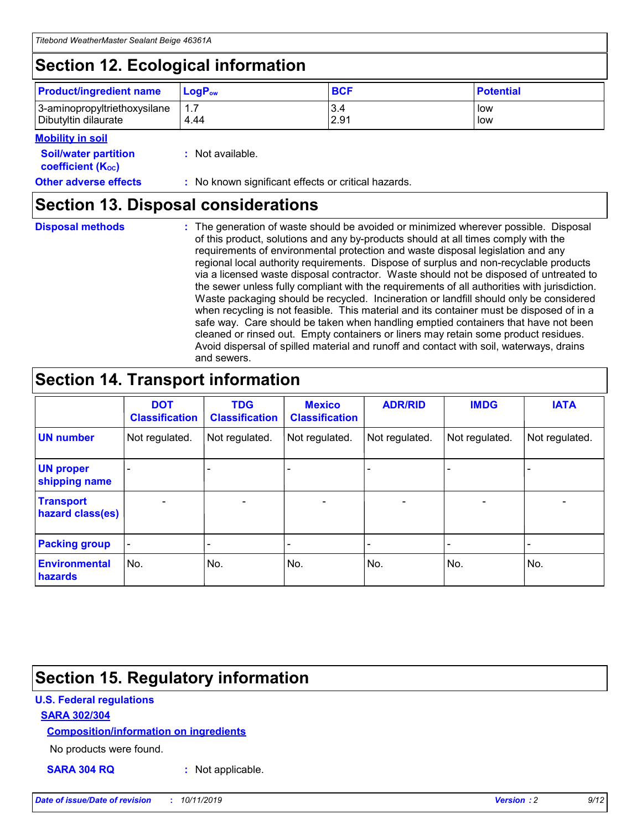# **Section 12. Ecological information**

| <b>Product/ingredient name</b> | $LoaPow$ | <b>BCF</b> | <b>Potential</b> |
|--------------------------------|----------|------------|------------------|
| 3-aminopropyltriethoxysilane   | 1.7      | 3.4        | low              |
| Dibutyltin dilaurate           | 4.44     | 2.91       | low              |

#### **Mobility in soil**

| <i></i>                                                       |                                                     |
|---------------------------------------------------------------|-----------------------------------------------------|
| <b>Soil/water partition</b><br>coefficient (K <sub>oc</sub> ) | : Not available.                                    |
| <b>Other adverse effects</b>                                  | : No known significant effects or critical hazards. |

## **Section 13. Disposal considerations**

**Disposal methods :**

The generation of waste should be avoided or minimized wherever possible. Disposal of this product, solutions and any by-products should at all times comply with the requirements of environmental protection and waste disposal legislation and any regional local authority requirements. Dispose of surplus and non-recyclable products via a licensed waste disposal contractor. Waste should not be disposed of untreated to the sewer unless fully compliant with the requirements of all authorities with jurisdiction. Waste packaging should be recycled. Incineration or landfill should only be considered when recycling is not feasible. This material and its container must be disposed of in a safe way. Care should be taken when handling emptied containers that have not been cleaned or rinsed out. Empty containers or liners may retain some product residues. Avoid dispersal of spilled material and runoff and contact with soil, waterways, drains and sewers.

# **Section 14. Transport information**

|                                      | <b>DOT</b><br><b>Classification</b> | <b>TDG</b><br><b>Classification</b> | <b>Mexico</b><br><b>Classification</b> | <b>ADR/RID</b>               | <b>IMDG</b>    | <b>IATA</b>              |
|--------------------------------------|-------------------------------------|-------------------------------------|----------------------------------------|------------------------------|----------------|--------------------------|
| <b>UN number</b>                     | Not regulated.                      | Not regulated.                      | Not regulated.                         | Not regulated.               | Not regulated. | Not regulated.           |
| <b>UN proper</b><br>shipping name    |                                     |                                     |                                        |                              |                |                          |
| <b>Transport</b><br>hazard class(es) | $\blacksquare$                      | $\overline{\phantom{0}}$            | $\overline{\phantom{a}}$               | $\qquad \qquad \blacksquare$ | $\blacksquare$ | $\overline{\phantom{0}}$ |
| <b>Packing group</b>                 | $\overline{\phantom{a}}$            | -                                   |                                        | -                            |                | -                        |
| <b>Environmental</b><br>hazards      | No.                                 | No.                                 | No.                                    | No.                          | No.            | No.                      |

# **Section 15. Regulatory information**

### **U.S. Federal regulations**

#### **SARA 302/304**

#### **Composition/information on ingredients**

No products were found.

**SARA 304 RQ :** Not applicable.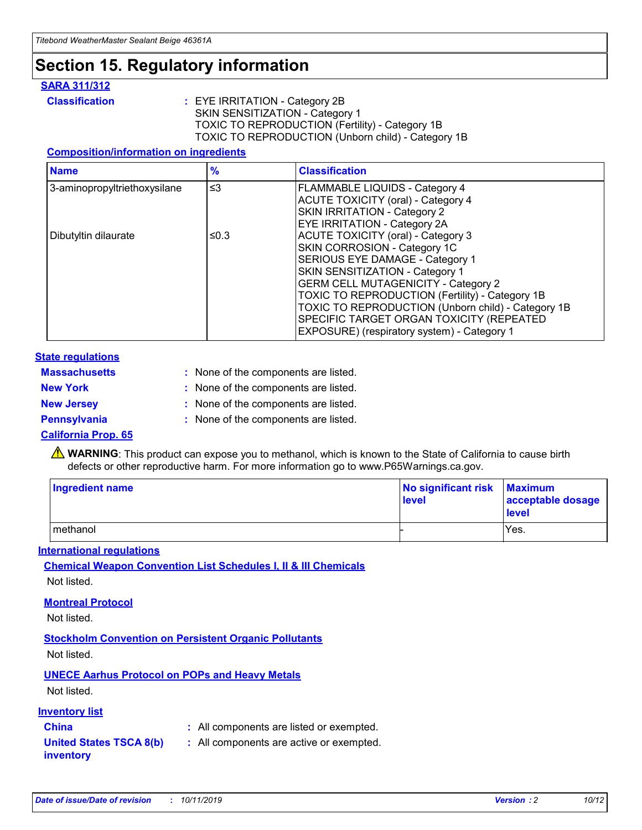# **Section 15. Regulatory information**

#### **SARA 311/312**

**Classification :** EYE IRRITATION - Category 2B SKIN SENSITIZATION - Category 1 TOXIC TO REPRODUCTION (Fertility) - Category 1B TOXIC TO REPRODUCTION (Unborn child) - Category 1B

#### **Composition/information on ingredients**

| <b>Name</b>                  | $\frac{9}{6}$ | <b>Classification</b>                                                                                            |
|------------------------------|---------------|------------------------------------------------------------------------------------------------------------------|
| 3-aminopropyltriethoxysilane | $\leq$ 3      | <b>FLAMMABLE LIQUIDS - Category 4</b><br><b>ACUTE TOXICITY (oral) - Category 4</b>                               |
|                              |               | SKIN IRRITATION - Category 2<br>EYE IRRITATION - Category 2A                                                     |
| Dibutyltin dilaurate         | ≤0.3          | ACUTE TOXICITY (oral) - Category 3<br>SKIN CORROSION - Category 1C                                               |
|                              |               | SERIOUS EYE DAMAGE - Category 1<br>SKIN SENSITIZATION - Category 1<br><b>GERM CELL MUTAGENICITY - Category 2</b> |
|                              |               | TOXIC TO REPRODUCTION (Fertility) - Category 1B<br>TOXIC TO REPRODUCTION (Unborn child) - Category 1B            |
|                              |               | SPECIFIC TARGET ORGAN TOXICITY (REPEATED<br>EXPOSURE) (respiratory system) - Category 1                          |

#### **State regulations**

| <b>Massachusetts</b> | : None of the components are listed. |
|----------------------|--------------------------------------|
| <b>New York</b>      | : None of the components are listed. |
| <b>New Jersey</b>    | : None of the components are listed. |
| <b>Pennsylvania</b>  | : None of the components are listed. |

#### **California Prop. 65**

**A** WARNING: This product can expose you to methanol, which is known to the State of California to cause birth defects or other reproductive harm. For more information go to www.P65Warnings.ca.gov.

| <b>Ingredient name</b> | No significant risk Maximum<br>level | acceptable dosage<br>level |
|------------------------|--------------------------------------|----------------------------|
| methanol               |                                      | Yes.                       |

#### **International regulations**

**Chemical Weapon Convention List Schedules I, II & III Chemicals** Not listed.

#### **Montreal Protocol**

Not listed.

#### **Stockholm Convention on Persistent Organic Pollutants**

Not listed.

### **UNECE Aarhus Protocol on POPs and Heavy Metals**

Not listed.

#### **Inventory list**

## **China :** All components are listed or exempted.

#### **United States TSCA 8(b) inventory :** All components are active or exempted.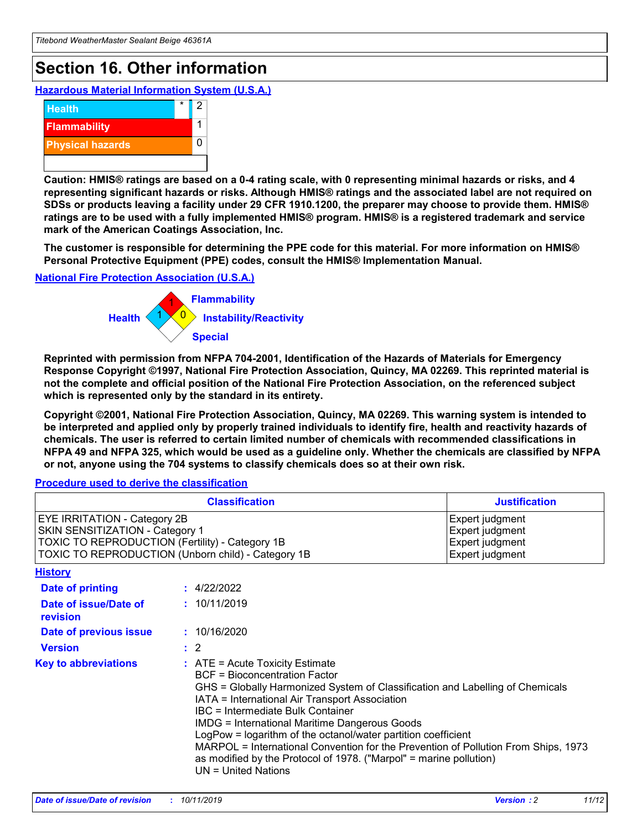# **Section 16. Other information**

**Hazardous Material Information System (U.S.A.)**



**Caution: HMIS® ratings are based on a 0-4 rating scale, with 0 representing minimal hazards or risks, and 4 representing significant hazards or risks. Although HMIS® ratings and the associated label are not required on SDSs or products leaving a facility under 29 CFR 1910.1200, the preparer may choose to provide them. HMIS® ratings are to be used with a fully implemented HMIS® program. HMIS® is a registered trademark and service mark of the American Coatings Association, Inc.**

**The customer is responsible for determining the PPE code for this material. For more information on HMIS® Personal Protective Equipment (PPE) codes, consult the HMIS® Implementation Manual.**

#### **National Fire Protection Association (U.S.A.)**



**Reprinted with permission from NFPA 704-2001, Identification of the Hazards of Materials for Emergency Response Copyright ©1997, National Fire Protection Association, Quincy, MA 02269. This reprinted material is not the complete and official position of the National Fire Protection Association, on the referenced subject which is represented only by the standard in its entirety.**

**Copyright ©2001, National Fire Protection Association, Quincy, MA 02269. This warning system is intended to be interpreted and applied only by properly trained individuals to identify fire, health and reactivity hazards of chemicals. The user is referred to certain limited number of chemicals with recommended classifications in NFPA 49 and NFPA 325, which would be used as a guideline only. Whether the chemicals are classified by NFPA or not, anyone using the 704 systems to classify chemicals does so at their own risk.**

**Procedure used to derive the classification**

| <b>Classification</b>                                                                                                                                                    |                                                                                                                                                                                                           | <b>Justification</b>                                                                                                                                                                                                                                                                                                                                               |  |
|--------------------------------------------------------------------------------------------------------------------------------------------------------------------------|-----------------------------------------------------------------------------------------------------------------------------------------------------------------------------------------------------------|--------------------------------------------------------------------------------------------------------------------------------------------------------------------------------------------------------------------------------------------------------------------------------------------------------------------------------------------------------------------|--|
| EYE IRRITATION - Category 2B<br>SKIN SENSITIZATION - Category 1<br>TOXIC TO REPRODUCTION (Fertility) - Category 1B<br>TOXIC TO REPRODUCTION (Unborn child) - Category 1B |                                                                                                                                                                                                           | Expert judgment<br>Expert judgment<br>Expert judgment<br>Expert judgment                                                                                                                                                                                                                                                                                           |  |
| <b>History</b>                                                                                                                                                           |                                                                                                                                                                                                           |                                                                                                                                                                                                                                                                                                                                                                    |  |
| Date of printing                                                                                                                                                         | : 4/22/2022                                                                                                                                                                                               |                                                                                                                                                                                                                                                                                                                                                                    |  |
| Date of issue/Date of<br>revision                                                                                                                                        | : 10/11/2019                                                                                                                                                                                              |                                                                                                                                                                                                                                                                                                                                                                    |  |
| Date of previous issue                                                                                                                                                   | : 10/16/2020                                                                                                                                                                                              |                                                                                                                                                                                                                                                                                                                                                                    |  |
| <b>Version</b>                                                                                                                                                           | $\therefore$ 2                                                                                                                                                                                            |                                                                                                                                                                                                                                                                                                                                                                    |  |
| <b>Key to abbreviations</b>                                                                                                                                              | $\therefore$ ATE = Acute Toxicity Estimate<br><b>BCF</b> = Bioconcentration Factor<br>IATA = International Air Transport Association<br><b>IBC</b> = Intermediate Bulk Container<br>$UN = United Nations$ | GHS = Globally Harmonized System of Classification and Labelling of Chemicals<br><b>IMDG = International Maritime Dangerous Goods</b><br>LogPow = logarithm of the octanol/water partition coefficient<br>MARPOL = International Convention for the Prevention of Pollution From Ships, 1973<br>as modified by the Protocol of 1978. ("Marpol" = marine pollution) |  |